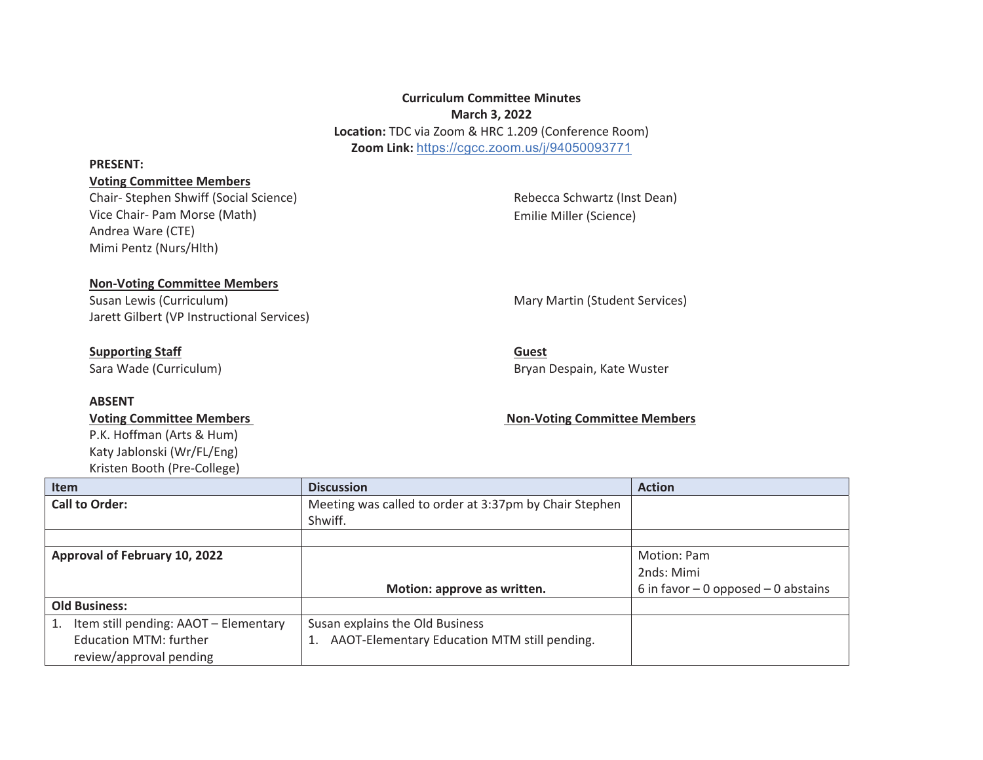# **Curriculum Committee Minutes March 3, 2022 Location:** TDC via Zoom & HRC 1.209 (Conference Room) **Zoom Link:** https://cgcc.zoom.us/j/94050093771

#### **PRESENT:**

## **Voting Committee Members**

Chair- Stephen Shwiff (Social Science) Vice Chair- Pam Morse (Math) Andrea Ware (CTE) Mimi Pentz (Nurs/Hlth)

Rebecca Schwartz (Inst Dean) Emilie Miller (Science)

## **Non-Voting Committee Members**

Susan Lewis (Curriculum) and Susan Lewis (Curriculum) and Mary Martin (Student Services) Jarett Gilbert (VP Instructional Services)

# **Supporting Staff**

Sara Wade (Curriculum)

### **ABSENT**

P.K. Hoffman (Arts & Hum) Katy Jablonski (Wr/FL/Eng) Kristen Booth (Pre-College)

**Guest**  Bryan Despain, Kate Wuster

### Voting Committee Members **Non-Voting Committee Members** Non-Voting Committee Members

| <b>Item</b>                           | <b>Discussion</b>                                      | <b>Action</b>                         |
|---------------------------------------|--------------------------------------------------------|---------------------------------------|
| <b>Call to Order:</b>                 | Meeting was called to order at 3:37pm by Chair Stephen |                                       |
|                                       | Shwiff.                                                |                                       |
|                                       |                                                        |                                       |
| Approval of February 10, 2022         |                                                        | Motion: Pam                           |
|                                       |                                                        | 2nds: Mimi                            |
|                                       | Motion: approve as written.                            | 6 in favor $-0$ opposed $-0$ abstains |
| <b>Old Business:</b>                  |                                                        |                                       |
| Item still pending: AAOT - Elementary | Susan explains the Old Business                        |                                       |
| Education MTM: further                | AAOT-Elementary Education MTM still pending.           |                                       |
| review/approval pending               |                                                        |                                       |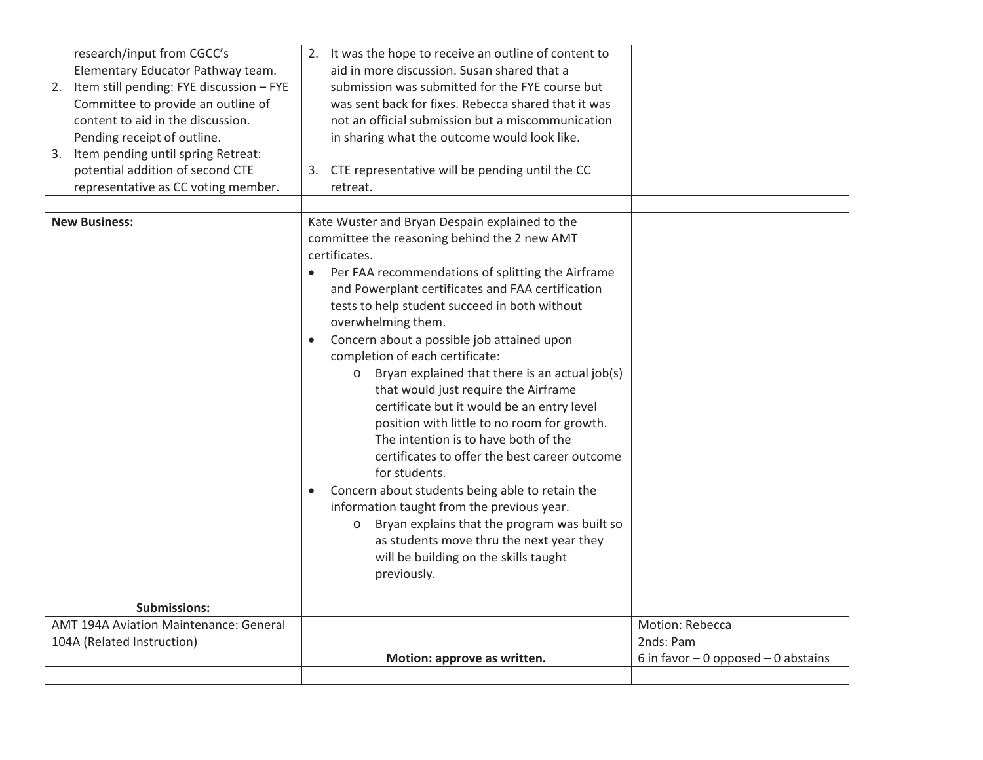| research/input from CGCC's<br>Elementary Educator Pathway team.<br>2. Item still pending: FYE discussion - FYE<br>Committee to provide an outline of<br>content to aid in the discussion.<br>Pending receipt of outline.<br>3. Item pending until spring Retreat:<br>potential addition of second CTE<br>representative as CC voting member. | 2. It was the hope to receive an outline of content to<br>aid in more discussion. Susan shared that a<br>submission was submitted for the FYE course but<br>was sent back for fixes. Rebecca shared that it was<br>not an official submission but a miscommunication<br>in sharing what the outcome would look like.<br>3. CTE representative will be pending until the CC<br>retreat.                                                                                                                                                                                                                                                                                                                                                                                                                                                                                                                                                                                     |                                                                       |
|----------------------------------------------------------------------------------------------------------------------------------------------------------------------------------------------------------------------------------------------------------------------------------------------------------------------------------------------|----------------------------------------------------------------------------------------------------------------------------------------------------------------------------------------------------------------------------------------------------------------------------------------------------------------------------------------------------------------------------------------------------------------------------------------------------------------------------------------------------------------------------------------------------------------------------------------------------------------------------------------------------------------------------------------------------------------------------------------------------------------------------------------------------------------------------------------------------------------------------------------------------------------------------------------------------------------------------|-----------------------------------------------------------------------|
| <b>New Business:</b>                                                                                                                                                                                                                                                                                                                         | Kate Wuster and Bryan Despain explained to the<br>committee the reasoning behind the 2 new AMT<br>certificates.<br>Per FAA recommendations of splitting the Airframe<br>and Powerplant certificates and FAA certification<br>tests to help student succeed in both without<br>overwhelming them.<br>Concern about a possible job attained upon<br>$\bullet$<br>completion of each certificate:<br>Bryan explained that there is an actual job(s)<br>$\circ$<br>that would just require the Airframe<br>certificate but it would be an entry level<br>position with little to no room for growth.<br>The intention is to have both of the<br>certificates to offer the best career outcome<br>for students.<br>Concern about students being able to retain the<br>information taught from the previous year.<br>Bryan explains that the program was built so<br>$\circ$<br>as students move thru the next year they<br>will be building on the skills taught<br>previously. |                                                                       |
| Submissions:                                                                                                                                                                                                                                                                                                                                 |                                                                                                                                                                                                                                                                                                                                                                                                                                                                                                                                                                                                                                                                                                                                                                                                                                                                                                                                                                            |                                                                       |
| AMT 194A Aviation Maintenance: General<br>104A (Related Instruction)                                                                                                                                                                                                                                                                         | Motion: approve as written.                                                                                                                                                                                                                                                                                                                                                                                                                                                                                                                                                                                                                                                                                                                                                                                                                                                                                                                                                | Motion: Rebecca<br>2nds: Pam<br>6 in favor $-0$ opposed $-0$ abstains |